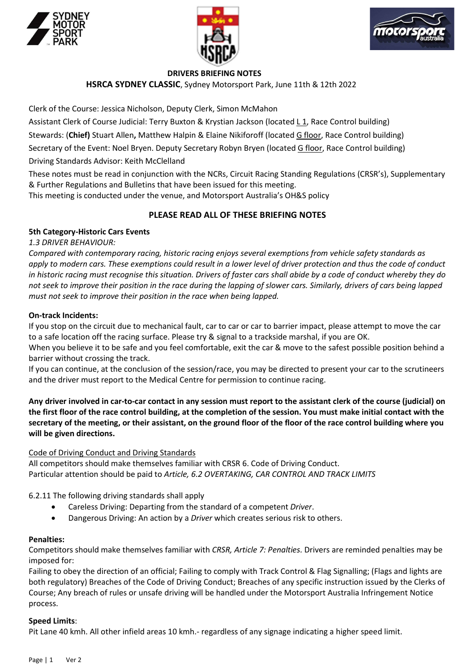





# DRIVERS BRIEFING NOTES

HSRCA SYDNEY CLASSIC, Sydney Motorsport Park, June 11th & 12th 2022

Clerk of the Course: Jessica Nicholson, Deputy Clerk, Simon McMahon

Assistant Clerk of Course Judicial: Terry Buxton & Krystian Jackson (located L 1, Race Control building)

Stewards: (Chief) Stuart Allen, Matthew Halpin & Elaine Nikiforoff (located G floor, Race Control building)

Secretary of the Event: Noel Bryen. Deputy Secretary Robyn Bryen (located G floor, Race Control building)

Driving Standards Advisor: Keith McClelland

These notes must be read in conjunction with the NCRs, Circuit Racing Standing Regulations (CRSR's), Supplementary & Further Regulations and Bulletins that have been issued for this meeting.

This meeting is conducted under the venue, and Motorsport Australia's OH&S policy

# PLEASE READ ALL OF THESE BRIEFING NOTES

# 5th Category-Historic Cars Events

1.3 DRIVER BEHAVIOUR:

Compared with contemporary racing, historic racing enjoys several exemptions from vehicle safety standards as apply to modern cars. These exemptions could result in a lower level of driver protection and thus the code of conduct in historic racing must recognise this situation. Drivers of faster cars shall abide by a code of conduct whereby they do not seek to improve their position in the race during the lapping of slower cars. Similarly, drivers of cars being lapped must not seek to improve their position in the race when being lapped.

## On-track Incidents:

If you stop on the circuit due to mechanical fault, car to car or car to barrier impact, please attempt to move the car to a safe location off the racing surface. Please try & signal to a trackside marshal, if you are OK.

When you believe it to be safe and you feel comfortable, exit the car & move to the safest possible position behind a barrier without crossing the track.

If you can continue, at the conclusion of the session/race, you may be directed to present your car to the scrutineers and the driver must report to the Medical Centre for permission to continue racing.

Any driver involved in car-to-car contact in any session must report to the assistant clerk of the course (judicial) on the first floor of the race control building, at the completion of the session. You must make initial contact with the secretary of the meeting, or their assistant, on the ground floor of the floor of the race control building where you will be given directions.

### Code of Driving Conduct and Driving Standards

All competitors should make themselves familiar with CRSR 6. Code of Driving Conduct. Particular attention should be paid to Article, 6.2 OVERTAKING, CAR CONTROL AND TRACK LIMITS

6.2.11 The following driving standards shall apply

- Careless Driving: Departing from the standard of a competent Driver.
- Dangerous Driving: An action by a Driver which creates serious risk to others.

### Penalties:

Competitors should make themselves familiar with CRSR, Article 7: Penalties. Drivers are reminded penalties may be imposed for:

Failing to obey the direction of an official; Failing to comply with Track Control & Flag Signalling; (Flags and lights are both regulatory) Breaches of the Code of Driving Conduct; Breaches of any specific instruction issued by the Clerks of Course; Any breach of rules or unsafe driving will be handled under the Motorsport Australia Infringement Notice process.

### Speed Limits:

Pit Lane 40 kmh. All other infield areas 10 kmh.- regardless of any signage indicating a higher speed limit.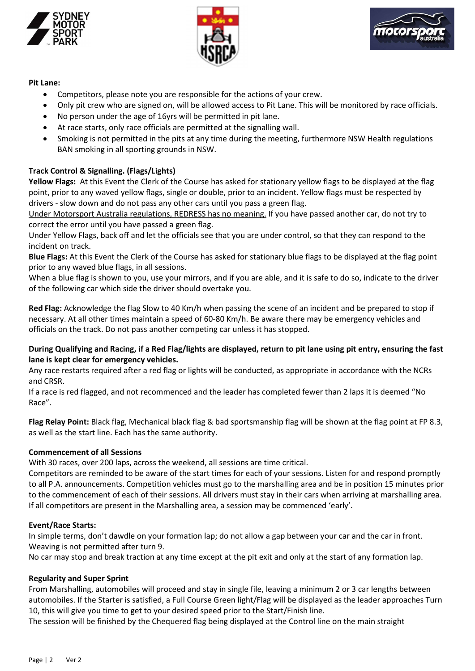





## Pit Lane:

- Competitors, please note you are responsible for the actions of your crew.
- Only pit crew who are signed on, will be allowed access to Pit Lane. This will be monitored by race officials.
- No person under the age of 16yrs will be permitted in pit lane.
- At race starts, only race officials are permitted at the signalling wall.
- Smoking is not permitted in the pits at any time during the meeting, furthermore NSW Health regulations BAN smoking in all sporting grounds in NSW.

# Track Control & Signalling. (Flags/Lights)

Yellow Flags: At this Event the Clerk of the Course has asked for stationary yellow flags to be displayed at the flag point, prior to any waved yellow flags, single or double, prior to an incident. Yellow flags must be respected by drivers - slow down and do not pass any other cars until you pass a green flag.

Under Motorsport Australia regulations, REDRESS has no meaning. If you have passed another car, do not try to correct the error until you have passed a green flag.

Under Yellow Flags, back off and let the officials see that you are under control, so that they can respond to the incident on track.

Blue Flags: At this Event the Clerk of the Course has asked for stationary blue flags to be displayed at the flag point prior to any waved blue flags, in all sessions.

When a blue flag is shown to you, use your mirrors, and if you are able, and it is safe to do so, indicate to the driver of the following car which side the driver should overtake you.

Red Flag: Acknowledge the flag Slow to 40 Km/h when passing the scene of an incident and be prepared to stop if necessary. At all other times maintain a speed of 60-80 Km/h. Be aware there may be emergency vehicles and officials on the track. Do not pass another competing car unless it has stopped.

## During Qualifying and Racing, if a Red Flag/lights are displayed, return to pit lane using pit entry, ensuring the fast lane is kept clear for emergency vehicles.

Any race restarts required after a red flag or lights will be conducted, as appropriate in accordance with the NCRs and CRSR.

If a race is red flagged, and not recommenced and the leader has completed fewer than 2 laps it is deemed "No Race".

Flag Relay Point: Black flag, Mechanical black flag & bad sportsmanship flag will be shown at the flag point at FP 8.3, as well as the start line. Each has the same authority.

# Commencement of all Sessions

With 30 races, over 200 laps, across the weekend, all sessions are time critical.

Competitors are reminded to be aware of the start times for each of your sessions. Listen for and respond promptly to all P.A. announcements. Competition vehicles must go to the marshalling area and be in position 15 minutes prior to the commencement of each of their sessions. All drivers must stay in their cars when arriving at marshalling area. If all competitors are present in the Marshalling area, a session may be commenced 'early'.

# Event/Race Starts:

In simple terms, don't dawdle on your formation lap; do not allow a gap between your car and the car in front. Weaving is not permitted after turn 9.

No car may stop and break traction at any time except at the pit exit and only at the start of any formation lap.

# Regularity and Super Sprint

From Marshalling, automobiles will proceed and stay in single file, leaving a minimum 2 or 3 car lengths between automobiles. If the Starter is satisfied, a Full Course Green light/Flag will be displayed as the leader approaches Turn 10, this will give you time to get to your desired speed prior to the Start/Finish line.

The session will be finished by the Chequered flag being displayed at the Control line on the main straight